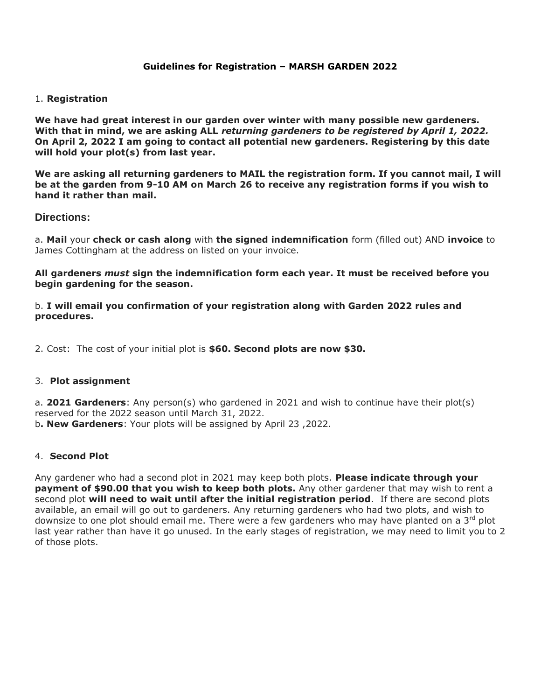## **Guidelines for Registration – MARSH GARDEN 2022**

## 1. **Registration**

**We have had great interest in our garden over winter with many possible new gardeners. With that in mind, we are asking ALL** *returning gardeners to be registered by April 1, 2022.* **On April 2, 2022 I am going to contact all potential new gardeners. Registering by this date will hold your plot(s) from last year.**

**We are asking all returning gardeners to MAIL the registration form. If you cannot mail, I will be at the garden from 9-10 AM on March 26 to receive any registration forms if you wish to hand it rather than mail.**

## **Directions:**

a. **Mail** your **check or cash along** with **the signed indemnification** form (filled out) AND **invoice** to James Cottingham at the address on listed on your invoice.

**All gardeners** *must* **sign the indemnification form each year. It must be received before you begin gardening for the season.**

b. **I will email you confirmation of your registration along with Garden 2022 rules and procedures.** 

2. Cost: The cost of your initial plot is **\$60. Second plots are now \$30.** 

## 3. **Plot assignment**

a. **2021 Gardeners**: Any person(s) who gardened in 2021 and wish to continue have their plot(s) reserved for the 2022 season until March 31, 2022. b**. New Gardeners**: Your plots will be assigned by April 23 ,2022.

## 4. **Second Plot**

Any gardener who had a second plot in 2021 may keep both plots. **Please indicate through your payment of \$90.00 that you wish to keep both plots.** Any other gardener that may wish to rent a second plot **will need to wait until after the initial registration period**. If there are second plots available, an email will go out to gardeners. Any returning gardeners who had two plots, and wish to downsize to one plot should email me. There were a few gardeners who may have planted on a  $3<sup>rd</sup>$  plot last year rather than have it go unused. In the early stages of registration, we may need to limit you to 2 of those plots.